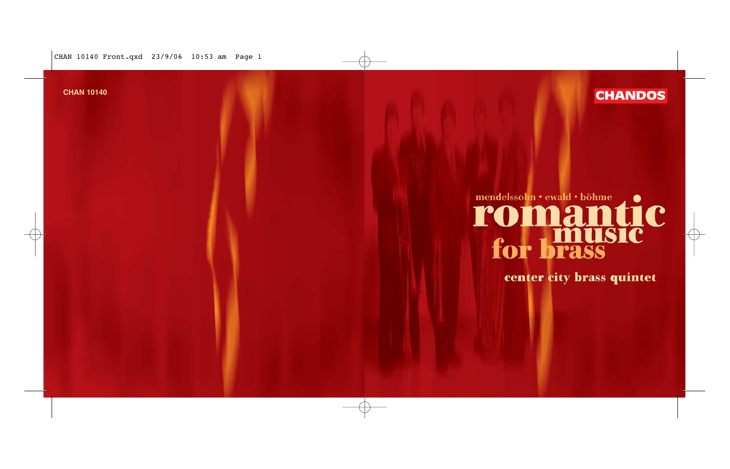CHAN 10140 Front.qxd 23/9/06 10:53 am Page 1



# **CHAN 10140 CHAN DOS**

# mendelssohn • ewald • böhme  $\bullet$ **romantic<br>for brass**

center city brass quintet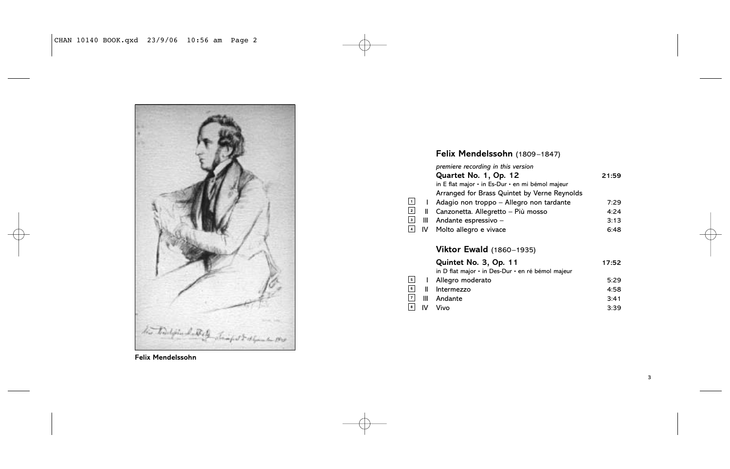

**Felix Mendelssohn**

### **Felix Mendelssohn** (1809–1847)

|    | premiere recording in this version               |       |
|----|--------------------------------------------------|-------|
|    | Quartet No. 1, Op. 12                            | 21:59 |
|    | in E flat major · in Es-Dur · en mi bémol majeur |       |
|    | Arranged for Brass Quintet by Verne Reynolds     |       |
|    | Adagio non troppo - Allegro non tardante         | 7:29  |
| Ш  | Canzonetta. Allegretto – Più mosso               | 4:24  |
| Ш  | Andante espressivo -                             | 3:13  |
| IV | Molto allegro e vivace                           | 6.48  |
|    |                                                  |       |

# **Viktor Ewald** (1860–1935)

|                          |     | Quintet No. 3, Op. 11                             | 17:52 |
|--------------------------|-----|---------------------------------------------------|-------|
|                          |     | in D flat major · in Des-Dur · en ré bémol majeur |       |
| $\overline{\phantom{0}}$ |     | Allegro moderato                                  | 5:29  |
| $\overline{\phantom{0}}$ |     | Intermezzo                                        | 4:58  |
|                          | Ш   | Andante                                           | 3:41  |
| $\overline{\phantom{a}}$ | IV. | Vivo                                              | 3:39  |
|                          |     |                                                   |       |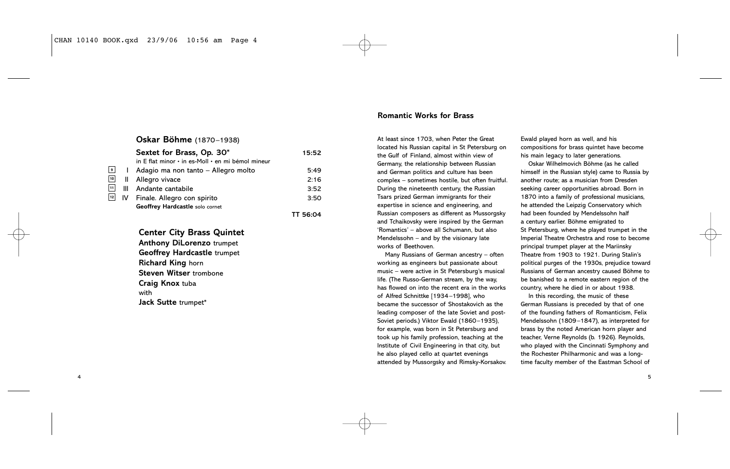## **Oskar Böhme** (1870–1938)

|                 |    | Sextet for Brass, Op. 30*                         | 15:52    |
|-----------------|----|---------------------------------------------------|----------|
|                 |    | in E flat minor • in es-Moll • en mi bémol mineur |          |
| •               |    | Adagio ma non tanto – Allegro molto               | 5:49     |
| 10              | Ш  | Allegro vivace                                    | 2:16     |
| 11              | Ш  | Andante cantabile                                 | 3:52     |
| $\overline{12}$ | IV | Finale. Allegro con spirito                       | 3:50     |
|                 |    | Geoffrey Hardcastle solo cornet                   |          |
|                 |    |                                                   | TT 56:04 |

#### **Center City Brass Quintet**

**Anthony DiLorenzo** trumpet **Geoffrey Hardcastle** trumpet **Richard King** horn **Steven Witser** trombone **Craig Knox** tuba with **Jack Sutte** trumpet\*

4

#### **Romantic Works for Brass**

At least since 1703, when Peter the Great located his Russian capital in St Petersburg on the Gulf of Finland, almost within view of Germany, the relationship between Russian and German politics and culture has been complex – sometimes hostile, but often fruitful. During the nineteenth century, the Russian Tsars prized German immigrants for their expertise in science and engineering, and Russian composers as different as Mussorgsky and Tchaikovsky were inspired by the German 'Romantics' – above all Schumann, but also Mendelssohn – and by the visionary late works of Beethoven.

Many Russians of German ancestry – often working as engineers but passionate about music – were active in St Petersburg's musical life. (The Russo-German stream, by the way, has flowed on into the recent era in the works of Alfred Schnittke [1934–1998], who became the successor of Shostakovich as the leading composer of the late Soviet and post-Soviet periods.) Viktor Ewald (1860–1935), for example, was born in St Petersburg and took up his family profession, teaching at the Institute of Civil Engineering in that city, but he also played cello at quartet evenings attended by Mussorgsky and Rimsky-Korsakov.

Ewald played horn as well, and his compositions for brass quintet have become his main legacy to later generations.

Oskar Wilhelmovich Böhme (as he called himself in the Russian style) came to Russia by another route; as a musician from Dresden seeking career opportunities abroad. Born in 1870 into a family of professional musicians, he attended the Leipzig Conservatory which had been founded by Mendelssohn half a century earlier. Böhme emigrated to St Petersburg, where he played trumpet in the Imperial Theatre Orchestra and rose to become principal trumpet player at the Mariinsky Theatre from 1903 to 1921. During Stalin's political purges of the 1930s, prejudice toward Russians of German ancestry caused Böhme to be banished to a remote eastern region of the country, where he died in or about 1938.

In this recording, the music of these German Russians is preceded by that of one of the founding fathers of Romanticism, Felix Mendelssohn (1809–1847), as interpreted for brass by the noted American horn player and teacher, Verne Reynolds (b. 1926). Reynolds, who played with the Cincinnati Symphony and the Rochester Philharmonic and was a longtime faculty member of the Eastman School of

5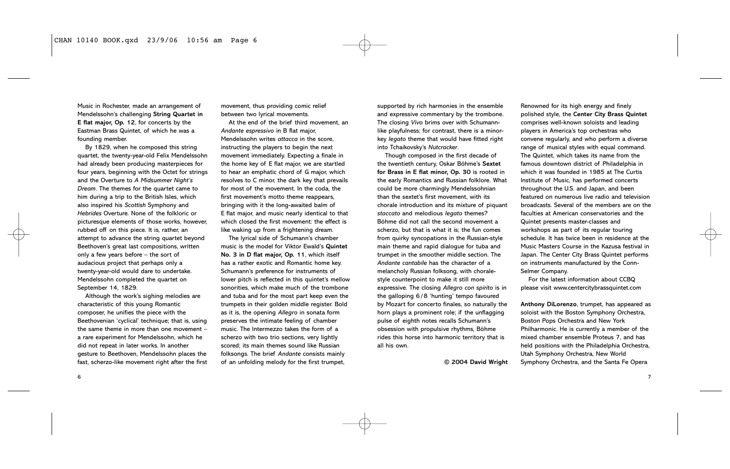Music in Rochester, made an arrangement of Mendelssohn's challenging **String Quartet in E flat major, Op. 12**, for concerts by the Eastman Brass Quintet, of which he was a founding member.

By 1829, when he composed this string quartet, the twenty-year-old Felix Mendelssohn had already been producing masterpieces for four years, beginning with the Octet for strings and the Overture to *A Midsummer Night's Dream*. The themes for the quartet came to him during a trip to the British Isles, which also inspired his *Scottish* Symphony and *Hebrides* Overture. None of the folkloric or picturesque elements of those works, however, rubbed off on this piece. It is, rather, an attempt to advance the string quartet beyond Beethoven's great last compositions, written only a few years before – the sort of audacious project that perhaps only a twenty-year-old would dare to undertake. Mendelssohn completed the quartet on September 14, 1829.

Although the work's sighing melodies are characteristic of this young Romantic composer, he unifies the piece with the Beethovenian 'cyclical' technique; that is, using the same theme in more than one movement – a rare experiment for Mendelssohn, which he did not repeat in later works. In another gesture to Beethoven, Mendelssohn places the fast, scherzo-like movement right after the first movement, thus providing comic relief between two lyrical movements.

At the end of the brief third movement, an *Andante espressivo* in B flat major, Mendelssohn writes *attacca* in the score, instructing the players to begin the next movement immediately. Expecting a finale in the home key of E flat major, we are startled to hear an emphatic chord of G major, which resolves to C minor, the dark key that prevails for most of the movement. In the coda, the first movement's motto theme reappears. bringing with it the long-awaited balm of E flat major, and music nearly identical to that which closed the first movement: the effect is like waking up from a frightening dream.

The lyrical side of Schumann's chamber music is the model for Viktor Ewald's **Quintet No. 3 in D flat major, Op. 11**, which itself has a rather exotic and Romantic home key. Schumann's preference for instruments of lower pitch is reflected in this quintet's mellow sonorities, which make much of the trombone and tuba and for the most part keep even the trumpets in their golden middle register. Bold as it is, the opening *Allegro* in sonata form preserves the intimate feeling of chamber music. The Intermezzo takes the form of a scherzo with two trio sections, very lightly scored; its main themes sound like Russian folksongs. The brief *Andante* consists mainly of an unfolding melody for the first trumpet,

supported by rich harmonies in the ensemble and expressive commentary by the trombone. The closing *Vivo* brims over with Schumannlike playfulness; for contrast, there is a minorkey *legato* theme that would have fitted right into Tchaikovsky's *Nutcracker*.

Though composed in the first decade of the twentieth century, Oskar Böhme's **Sextet for Brass in E flat minor, Op. 30** is rooted in the early Romantics and Russian folklore. What could be more charmingly Mendelssohnian than the sextet's first movement, with its chorale introduction and its mixture of piquant *staccato* and melodious *legato* themes? Böhme did not call the second movement a scherzo, but that is what it is; the fun comes from quirky syncopations in the Russian-style main theme and rapid dialogue for tuba and trumpet in the smoother middle section. The *Andante cantabile* has the character of a melancholy Russian folksong, with choralestyle counterpoint to make it still more expressive. The closing *Allegro con spirito* is in the galloping 6/8 'hunting' tempo favoured by Mozart for concerto finales, so naturally the horn plays a prominent role; if the unflagging pulse of eighth notes recalls Schumann's obsession with propulsive rhythms, Böhme rides this horse into harmonic territory that is all his own.

**© 2004 David Wright**

Renowned for its high energy and finely polished style, the **Center City Brass Quintet** comprises well-known soloists and leading players in America's top orchestras who convene regularly, and who perform a diverse range of musical styles with equal command. The Quintet, which takes its name from the famous downtown district of Philadelphia in which it was founded in 1985 at The Curtis Institute of Music, has performed concerts throughout the U.S. and Japan, and been featured on numerous live radio and television broadcasts. Several of the members are on the faculties at American conservatories and the Quintet presents master-classes and workshops as part of its regular touring schedule. It has twice been in residence at the Music Masters Course in the Kazusa festival in Japan. The Center City Brass Quintet performs on instruments manufactured by the Conn-Selmer Company.

For the latest information about CCBQ please visit www.centercitybrassquintet.com

**Anthony DiLorenzo**, trumpet, has appeared as soloist with the Boston Symphony Orchestra, Boston Pops Orchestra and New York Philharmonic. He is currently a member of the mixed chamber ensemble Proteus 7, and has held positions with the Philadelphia Orchestra, Utah Symphony Orchestra, New World Symphony Orchestra, and the Santa Fe Opera

6

7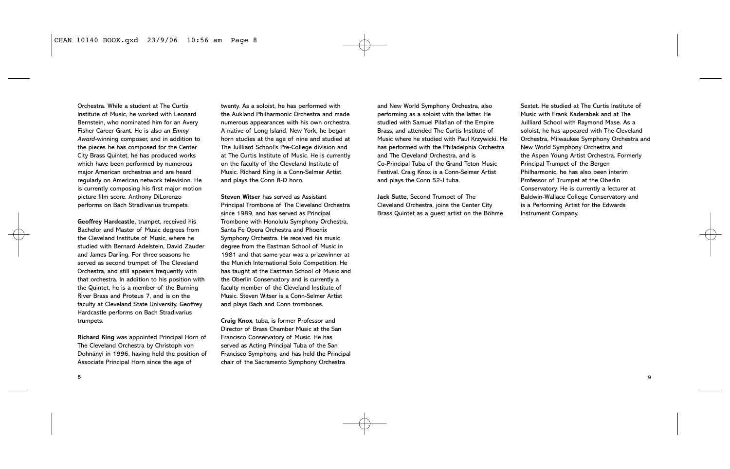Orchestra. While a student at The Curtis Institute of Music, he worked with Leonard Bernstein, who nominated him for an Avery Fisher Career Grant. He is also an *Emmy Award-*winning composer, and in addition to the pieces he has composed for the Center City Brass Quintet, he has produced works which have been performed by numerous major American orchestras and are heard regularly on American network television. He is currently composing his first major motion picture film score. Anthony DiLorenzo performs on Bach Stradivarius trumpets.

**Geoffrey Hardcastle**, trumpet, received his Bachelor and Master of Music degrees from the Cleveland Institute of Music, where he studied with Bernard Adelstein, David Zauder and James Darling. For three seasons he served as second trumpet of The Cleveland Orchestra, and still appears frequently with that orchestra. In addition to his position with the Quintet, he is a member of the Burning River Brass and Proteus 7, and is on the faculty at Cleveland State University. Geoffrey Hardcastle performs on Bach Stradivarius trumpets.

**Richard King** was appointed Principal Horn of The Cleveland Orchestra by Christoph von Dohnányi in 1996, having held the position of Associate Principal Horn since the age of

twenty. As a soloist, he has performed with the Aukland Philharmonic Orchestra and made numerous appearances with his own orchestra. A native of Long Island, New York, he began horn studies at the age of nine and studied at The Juilliard School's Pre-College division and at The Curtis Institute of Music. He is currently on the faculty of the Cleveland Institute of Music. Richard King is a Conn-Selmer Artist and plays the Conn 8-D horn.

**Steven Witser** has served as Assistant Principal Trombone of The Cleveland Orchestra since 1989, and has served as Principal Trombone with Honolulu Symphony Orchestra, Santa Fe Opera Orchestra and Phoenix Symphony Orchestra. He received his music degree from the Eastman School of Music in 1981 and that same year was a prizewinner at the Munich International Solo Competition. He has taught at the Eastman School of Music and the Oberlin Conservatory and is currently a faculty member of the Cleveland Institute of Music. Steven Witser is a Conn-Selmer Artist and plays Bach and Conn trombones.

**Craig Knox**, tuba, is former Professor and Director of Brass Chamber Music at the San Francisco Conservatory of Music. He has served as Acting Principal Tuba of the San Francisco Symphony, and has held the Principal chair of the Sacramento Symphony Orchestra

and New World Symphony Orchestra, also performing as a soloist with the latter. He studied with Samuel Pilafian of the Empire Brass, and attended The Curtis Institute of Music where he studied with Paul Krzywicki. He has performed with the Philadelphia Orchestra and The Cleveland Orchestra, and is Co-Principal Tuba of the Grand Teton Music Festival. Craig Knox is a Conn-Selmer Artist and plays the Conn 52-J tuba.

**Jack Sutte**, Second Trumpet of The Cleveland Orchestra, joins the Center City Brass Quintet as a guest artist on the Böhme

Sextet. He studied at The Curtis Institute of Music with Frank Kaderabek and at The Juilliard School with Raymond Mase. As a soloist, he has appeared with The Cleveland Orchestra, Milwaukee Symphony Orchestra and New World Symphony Orchestra and the Aspen Young Artist Orchestra. Formerly Principal Trumpet of the Bergen Philharmonic, he has also been interim Professor of Trumpet at the Oberlin Conservatory. He is currently a lecturer at Baldwin-Wallace College Conservatory and is a Performing Artist for the Edwards Instrument Company.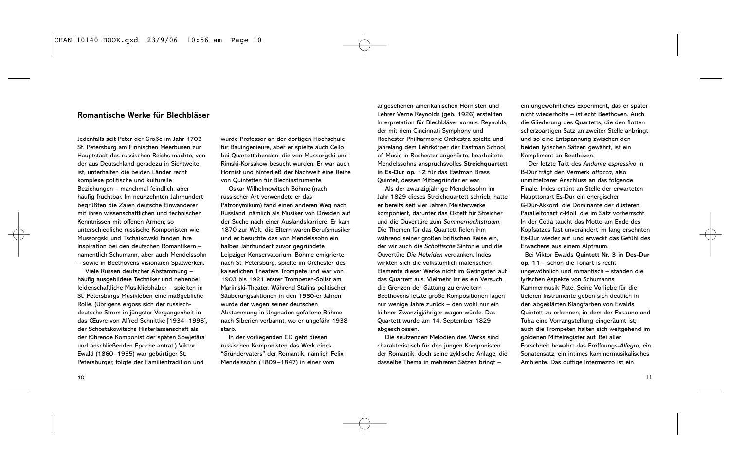#### **Romantische Werke für Blechbläser**

Jedenfalls seit Peter der Große im Jahr 1703 St. Petersburg am Finnischen Meerbusen zur Hauptstadt des russischen Reichs machte, von der aus Deutschland geradezu in Sichtweite ist, unterhalten die beiden Länder recht komplexe politische und kulturelle Beziehungen – manchmal feindlich, aber häufig fruchtbar. Im neunzehnten Jahrhundert begrüßten die Zaren deutsche Einwanderer mit ihren wissenschaftlichen und technischen Kenntnissen mit offenen Armen; so unterschiedliche russische Komponisten wie Mussorgski und Tschaikowski fanden ihre Inspiration bei den deutschen Romantikern – namentlich Schumann, aber auch Mendelssohn – sowie in Beethovens visionären Spätwerken.

Viele Russen deutscher Abstammung – häufig ausgebildete Techniker und nebenbei leidenschaftliche Musikliebhaber – spielten in St. Petersburgs Musikleben eine maßgebliche Rolle. (Übrigens ergoss sich der russischdeutsche Strom in jüngster Vergangenheit in das Œuvre von Alfred Schnittke [1934–1998], der Schostakowitschs Hinterlassenschaft als der führende Komponist der späten Sowjetära und anschließenden Epoche antrat.) Viktor Ewald (1860–1935) war gebürtiger St. Petersburger, folgte der Familientradition und

wurde Professor an der dortigen Hochschule für Bauingenieure, aber er spielte auch Cello bei Quartettabenden, die von Mussorgski und Rimski-Korsakow besucht wurden. Er war auch Hornist und hinterließ der Nachwelt eine Reihe von Quintetten für Blechinstrumente.

Oskar Wilhelmowitsch Böhme (nach russischer Art verwendete er das Patronymikum) fand einen anderen Weg nach Russland, nämlich als Musiker von Dresden auf der Suche nach einer Auslandskarriere. Er kam 1870 zur Welt; die Eltern waren Berufsmusiker und er besuchte das von Mendelssohn ein halbes Jahrhundert zuvor gegründete Leipziger Konservatorium. Böhme emigrierte nach St. Petersburg, spielte im Orchester des kaiserlichen Theaters Trompete und war von 1903 bis 1921 erster Trompeten-Solist am Mariinski-Theater. Während Stalins politischer Säuberungsaktionen in den 1930-er Jahren wurde der wegen seiner deutschen Abstammung in Ungnaden gefallene Böhme nach Siberien verbannt, wo er ungefähr 1938 starb.

In der vorliegenden CD geht diesen russischen Komponisten das Werk eines "Gründervaters" der Romantik, nämlich Felix Mendelssohn (1809–1847) in einer vom

angesehenen amerikanischen Hornisten und Lehrer Verne Reynolds (geb. 1926) erstellten Interpretation für Blechbläser voraus. Reynolds, der mit dem Cincinnati Symphony und Rochester Philharmonic Orchestra spielte und jahrelang dem Lehrkörper der Eastman School of Music in Rochester angehörte, bearbeitete Mendelssohns anspruchsvolles Streichquartett **in Es-Dur op. 12** für das Eastman Brass Quintet, dessen Mitbegründer er war.

Als der zwanzigjährige Mendelssohn im Jahr 1829 dieses Streichquartett schrieb, hatte er bereits seit vier Jahren Meisterwerke komponiert, darunter das Oktett für Streicher und die Ouvertüre zum *Sommernachtstraum*. Die Themen für das Quartett fielen ihm während seiner großen britischen Reise ein, der wir auch die *Schottische* Sinfonie und die Ouvertüre *Die Hebriden* verdanken. Indes wirkten sich die volkstümlich malerischen Elemente dieser Werke nicht im Geringsten auf das Quartett aus. Vielmehr ist es ein Versuch, die Grenzen der Gattung zu erweitern – Beethovens letzte große Kompositionen lagen nur wenige Jahre zurück – den wohl nur ein kühner Zwanzigjähriger wagen würde. Das Quartett wurde am 14. September 1829 abgeschlossen.

Die seufzenden Melodien des Werks sind charakteristisch für den jungen Komponisten der Romantik, doch seine zyklische Anlage, die dasselbe Thema in mehreren Sätzen bringt –

ein ungewöhnliches Experiment, das er später nicht wiederholte – ist echt Beethoven. Auch die Gliederung des Quartetts, die den flotten scherzoartigen Satz an zweiter Stelle anbringt und so eine Entspannung zwischen den beiden lyrischen Sätzen gewährt, ist ein Kompliment an Beethoven.

Der letzte Takt des *Andante espressivo* in B-Dur trägt den Vermerk *attacca*, also unmittelbarer Anschluss an das folgende Finale. Indes ertönt an Stelle der erwarteten Haupttonart Es-Dur ein energischer G-Dur-Akkord, die Dominante der düsteren Paralleltonart c-Moll, die im Satz vorherrscht. In der Coda taucht das Motto am Ende des Kopfsatzes fast unverändert im lang ersehnten Es-Dur wieder auf und erweckt das Gefühl des Erwachens aus einem Alptraum.

Bei Viktor Ewalds **Quintett Nr. 3 in Des-Dur op. 11** – schon die Tonart is recht ungewöhnlich und romantisch – standen die lyrischen Aspekte von Schumanns Kammermusik Pate. Seine Vorliebe für die tieferen Instrumente geben sich deutlich in den abgeklärten Klangfarben von Ewalds Quintett zu erkennen, in dem der Posaune und Tuba eine Vorrangstellung eingeräumt ist; auch die Trompeten halten sich weitgehend im goldenen Mittelregister auf. Bei aller Forschheit bewahrt das Eröffnungs-*Allegro*, ein Sonatensatz, ein intimes kammermusikalisches Ambiente. Das duftige Intermezzo ist ein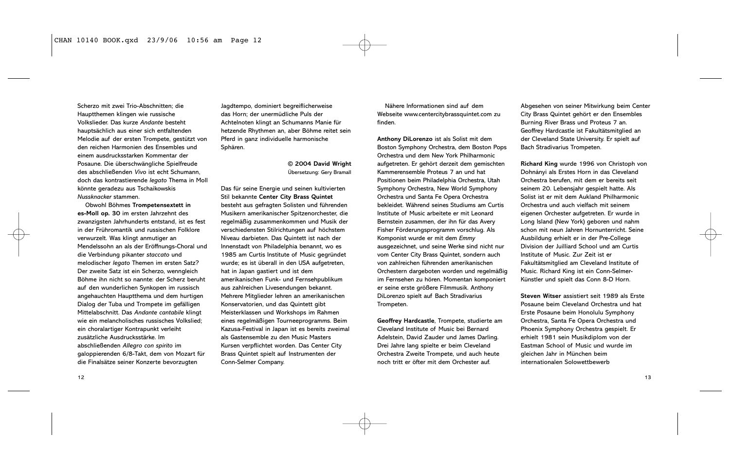Scherzo mit zwei Trio-Abschnitten; die Hauptthemen klingen wie russische Volkslieder. Das kurze *Andante* besteht hauptsächlich aus einer sich entfaltenden Melodie auf der ersten Trompete, gestützt von den reichen Harmonien des Ensembles und einem ausdrucksstarken Kommentar der Posaune. Die überschwängliche Spielfreude des abschließenden *Vivo* ist echt Schumann, doch das kontrastierende *legato* Thema in Moll könnte geradezu aus Tschaikowskis *Nussknacker* stammen.

Obwohl Böhmes **Trompetensextett in es-Moll op. 30** im ersten Jahrzehnt des zwanzigsten Jahrhunderts entstand, ist es fest in der Frühromantik und russischen Folklore verwurzelt. Was klingt anmutiger an Mendelssohn an als der Eröffnungs-Choral und die Verbindung pikanter *staccato* und melodischer *legato* Themen im ersten Satz? Der zweite Satz ist ein Scherzo, wenngleich Böhme ihn nicht so nannte: der Scherz beruht auf den wunderlichen Synkopen im russisch angehauchten Hauptthema und dem hurtigen Dialog der Tuba und Trompete im gefälligen Mittelabschnitt. Das *Andante cantabile* klingt wie ein melancholisches russisches Volkslied; ein choralartiger Kontrapunkt verleiht zusätzliche Ausdrucksstärke. Im abschließenden *Allegro con spirito* im galoppierenden 6/8-Takt, dem von Mozart für die Finalsätze seiner Konzerte bevorzugten

Jagdtempo, dominiert begreiflicherweise das Horn; der unermüdliche Puls der Achtelnoten klingt an Schumanns Manie für hetzende Rhythmen an, aber Böhme reitet sein Pferd in ganz individuelle harmonische Sphären.

> **© 2004 David Wright** Übersetzung: Gery Bramall

Das für seine Energie und seinen kultivierten Stil bekannte **Center City Brass Quintet** besteht aus gefragten Solisten und führenden Musikern amerikanischer Spitzenorchester, die regelmäßig zusammenkommen und Musik der verschiedensten Stilrichtungen auf höchstem Niveau darbieten. Das Quintett ist nach der Innenstadt von Philadelphia benannt, wo es 1985 am Curtis Institute of Music gegründet wurde; es ist überall in den USA aufgetreten, hat in Japan gastiert und ist dem amerikanischen Funk- und Fernsehpublikum aus zahlreichen Livesendungen bekannt. Mehrere Mitglieder lehren an amerikanischen Konservatorien, und das Quintett gibt Meisterklassen und Workshops im Rahmen eines regelmäßigen Tourneeprogramms. Beim Kazusa-Festival in Japan ist es bereits zweimal als Gastensemble zu den Music Masters Kursen verpflichtet worden. Das Center City Brass Quintet spielt auf Instrumenten der Conn-Selmer Company.

Nähere Informationen sind auf dem Webseite www.centercitybrassquintet.com zu finden.

**Anthony DiLorenzo** ist als Solist mit dem Boston Symphony Orchestra, dem Boston Pops Orchestra und dem New York Philharmonic aufgetreten. Er gehört derzeit dem gemischten Kammerensemble Proteus 7 an und hat Positionen beim Philadelphia Orchestra, Utah Symphony Orchestra, New World Symphony Orchestra und Santa Fe Opera Orchestra bekleidet. Während seines Studiums am Curtis Institute of Music arbeitete er mit Leonard Bernstein zusammen, der ihn für das Avery Fisher Förderungsprogramm vorschlug. Als Komponist wurde er mit dem *Emmy* ausgezeichnet, und seine Werke sind nicht nur vom Center City Brass Quintet, sondern auch von zahlreichen führenden amerikanischen Orchestern dargeboten worden und regelmäßig im Fernsehen zu hören. Momentan komponiert er seine erste größere Filmmusik. Anthony DiLorenzo spielt auf Bach Stradivarius Trompeten.

**Geoffrey Hardcastle**, Trompete, studierte am Cleveland Institute of Music bei Bernard Adelstein, David Zauder und James Darling. Drei Jahre lang spielte er beim Cleveland Orchestra Zweite Trompete, und auch heute noch tritt er öfter mit dem Orchester auf.

Abgesehen von seiner Mitwirkung beim Center City Brass Quintet gehört er den Ensembles Burning River Brass und Proteus 7 an. Geoffrey Hardcastle ist Fakultätsmitglied an der Cleveland State University. Er spielt auf Bach Stradivarius Trompeten.

**Richard King** wurde 1996 von Christoph von Dohnányi als Erstes Horn in das Cleveland Orchestra berufen, mit dem er bereits seit seinem 20. Lebensjahr gespielt hatte. Als Solist ist er mit dem Aukland Philharmonic Orchestra und auch vielfach mit seinem eigenen Orchester aufgetreten. Er wurde in Long Island (New York) geboren und nahm schon mit neun Jahren Hornunterricht. Seine Ausbildung erhielt er in der Pre-College Division der Juilliard School und am Curtis Institute of Music. Zur Zeit ist er Fakultätsmitglied am Cleveland Institute of Music. Richard King ist ein Conn-Selmer-Künstler und spielt das Conn 8-D Horn.

**Steven Witser** assistiert seit 1989 als Erste Posaune beim Cleveland Orchestra und hat Erste Posaune beim Honolulu Symphony Orchestra, Santa Fe Opera Orchestra und Phoenix Symphony Orchestra gespielt. Er erhielt 1981 sein Musikdiplom von der Eastman School of Music und wurde im gleichen Jahr in München beim internationalen Solowettbewerb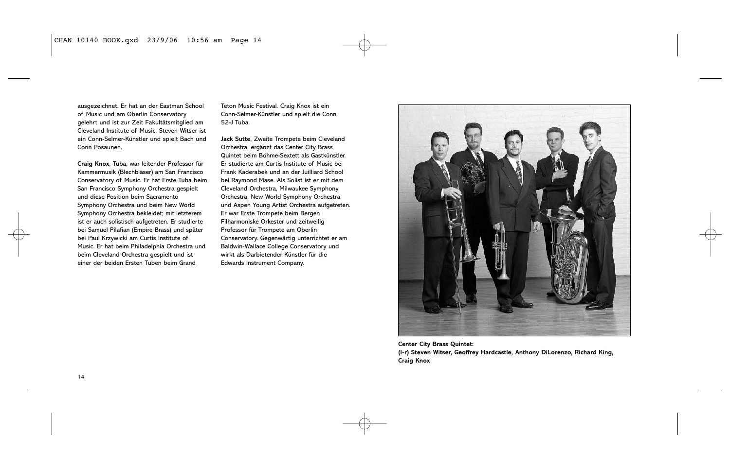ausgezeichnet. Er hat an der Eastman School of Music und am Oberlin Conservatory gelehrt und ist zur Zeit Fakultätsmitglied am Cleveland Institute of Music. Steven Witser ist ein Conn-Selmer-Künstler und spielt Bach und Conn Posaunen.

**Craig Knox**, Tuba, war leitender Professor für Kammermusik (Blechbläser) am San Francisco Conservatory of Music. Er hat Erste Tuba beim San Francisco Symphony Orchestra gespielt und diese Position beim Sacramento Symphony Orchestra und beim New World Symphony Orchestra bekleidet; mit letzterem ist er auch solistisch aufgetreten. Er studierte bei Samuel Pilafian (Empire Brass) und später bei Paul Krzywicki am Curtis Institute of Music. Er hat beim Philadelphia Orchestra und beim Cleveland Orchestra gespielt und ist einer der beiden Ersten Tuben beim Grand

Teton Music Festival. Craig Knox ist ein Conn-Selmer-Künstler und spielt die Conn 52-J Tuba.

**Jack Sutte**, Zweite Trompete beim Cleveland Orchestra, ergänzt das Center City Brass Quintet beim Böhme-Sextett als Gastkünstler. Er studierte am Curtis Institute of Music bei Frank Kaderabek und an der Juilliard School bei Raymond Mase. Als Solist ist er mit dem Cleveland Orchestra, Milwaukee Symphony Orchestra, New World Symphony Orchestra und Aspen Young Artist Orchestra aufgetreten. Er war Erste Trompete beim Bergen Filharmoniske Orkester und zeitweilig Professor für Trompete am Oberlin Conservatory. Gegenwärtig unterrichtet er am Baldwin-Wallace College Conservatory und wirkt als Darbietender Künstler für die Edwards Instrument Company.



**Center City Brass Quintet: (l-r) Steven Witser, Geoffrey Hardcastle, Anthony DiLorenzo, Richard King, Craig Knox**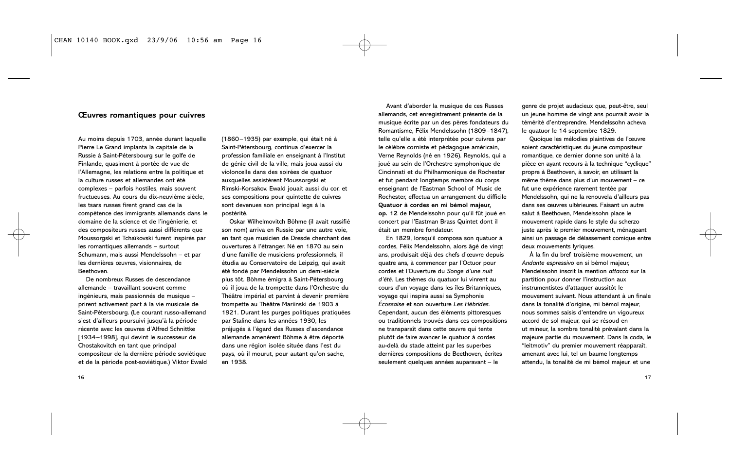#### **Œuvres romantiques pour cuivres**

Au moins depuis 1703, année durant laquelle Pierre Le Grand implanta la capitale de la Russie à Saint-Pétersbourg sur le golfe de Finlande, quasiment à portée de vue de l'Allemagne, les relations entre la politique et la culture russes et allemandes ont été complexes – parfois hostiles, mais souvent fructueuses. Au cours du dix-neuvième siècle, les tsars russes firent grand cas de la compétence des immigrants allemands dans le domaine de la science et de l'ingénierie, et des compositeurs russes aussi différents que Moussorgski et Tchaïkovski furent inspirés par les romantiques allemands – surtout Schumann, mais aussi Mendelssohn – et par les dernières œuvres, visionnaires, de Beethoven.

De nombreux Russes de descendance allemande – travaillant souvent comme ingénieurs, mais passionnés de musique – prirent activement part à la vie musicale de Saint-Pétersbourg. (Le courant russo-allemand s'est d'ailleurs poursuivi jusqu'à la période récente avec les œuvres d'Alfred Schnittke [1934–1998], qui devint le successeur de Chostakovitch en tant que principal compositeur de la dernière période soviétique et de la période post-soviétique.) Viktor Ewald (1860–1935) par exemple, qui était né à Saint-Pétersbourg, continua d'exercer la profession familiale en enseignant à l'Institut de génie civil de la ville, mais joua aussi du violoncelle dans des soirées de quatuor auxquelles assistèrent Moussorgski et Rimski-Korsakov. Ewald jouait aussi du cor, et ses compositions pour quintette de cuivres sont devenues son principal legs à la postérité.

Oskar Wilhelmovitch Böhme (il avait russifié son nom) arriva en Russie par une autre voie, en tant que musicien de Dresde cherchant des ouvertures à l'étranger. Né en 1870 au sein d'une famille de musiciens professionnels, il étudia au Conservatoire de Leipzig, qui avait été fondé par Mendelssohn un demi-siècle plus tôt. Böhme émigra à Saint-Pétersbourg où il joua de la trompette dans l'Orchestre du Théâtre impérial et parvint à devenir première trompette au Théâtre Mariinski de 1903 à 1921. Durant les purges politiques pratiquées par Staline dans les années 1930, les préjugés à l'égard des Russes d'ascendance allemande amenèrent Böhme à être déporté dans une région isolée située dans l'est du pays, où il mourut, pour autant qu'on sache, en 1938.

Avant d'aborder la musique de ces Russes allemands, cet enregistrement présente de la musique écrite par un des pères fondateurs du Romantisme, Félix Mendelssohn (1809–1847), telle qu'elle a été interprétée pour cuivres par le célèbre corniste et pédagogue américain, Verne Reynolds (né en 1926). Reynolds, qui a joué au sein de l'Orchestre symphonique de Cincinnati et du Philharmonique de Rochester et fut pendant longtemps membre du corps enseignant de l'Eastman School of Music de Rochester, effectua un arrangement du difficile **Quatuor à cordes en mi bémol majeur, op. 12** de Mendelssohn pour qu'il fût joué en concert par l'Eastman Brass Quintet dont il était un membre fondateur.

En 1829, lorsqu'il composa son quatuor à cordes, Félix Mendelssohn, alors âgé de vingt ans, produisait déjà des chefs d'œuvre depuis quatre ans, à commencer par l'Octuor pour cordes et l'Ouverture du *Songe d'une nuit d'été*. Les thèmes du quatuor lui vinrent au cours d'un voyage dans les îles Britanniques, voyage qui inspira aussi sa Symphonie *Écossaise* et son ouverture *Les Hébrides*. Cependant, aucun des éléments pittoresques ou traditionnels trouvés dans ces compositions ne transparaît dans cette œuvre qui tente plutôt de faire avancer le quatuor à cordes au-delà du stade atteint par les superbes dernières compositions de Beethoven, écrites seulement quelques années auparavant – le

genre de projet audacieux que, peut-être, seul un jeune homme de vingt ans pourrait avoir la témérité d'entreprendre. Mendelssohn acheva le quatuor le 14 septembre 1829.

Quoique les mélodies plaintives de l'œuvre soient caractéristiques du jeune compositeur romantique, ce dernier donne son unité à la pièce en ayant recours à la technique "cyclique" propre à Beethoven, à savoir, en utilisant la même thème dans plus d'un mouvement – ce fut une expérience rarement tentée par Mendelssohn, qui ne la renouvela d'ailleurs pas dans ses œuvres ultérieures. Faisant un autre salut à Beethoven, Mendelssohn place le mouvement rapide dans le style du scherzo juste après le premier mouvement, ménageant ainsi un passage de délassement comique entre deux mouvements lyriques.

À la fin du bref troisième mouvement, un *Andante espressivo* en si bémol majeur, Mendelssohn inscrit la mention *attacca* sur la partition pour donner l'instruction aux instrumentistes d'attaquer aussitôt le mouvement suivant. Nous attendant à un finale dans la tonalité d'origine, mi bémol majeur, nous sommes saisis d'entendre un vigoureux accord de sol majeur, qui se résoud en ut mineur, la sombre tonalité prévalant dans la majeure partie du mouvement. Dans la coda, le "leitmotiv" du premier mouvement réapparaît, amenant avec lui, tel un baume longtemps attendu, la tonalité de mi bémol majeur, et une

16  $\overline{\phantom{a}}$  17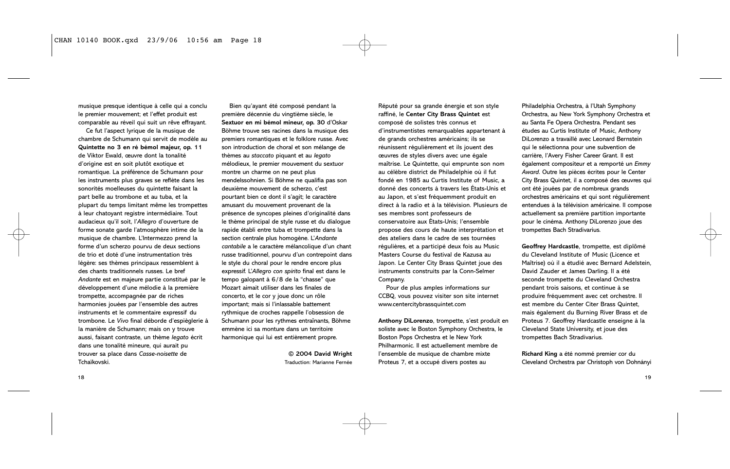musique presque identique à celle qui a conclu le premier mouvement; et l'effet produit est comparable au réveil qui suit un rêve effrayant.

Ce fut l'aspect lyrique de la musique de chambre de Schumann qui servit de modèle au **Quintette no 3 en ré bémol majeur, op. 11** de Viktor Ewald, œuvre dont la tonalité d'origine est en soit plutôt exotique et romantique. La préférence de Schumann pour les instruments plus graves se reflète dans les sonorités moelleuses du quintette faisant la part belle au trombone et au tuba, et la plupart du temps limitant même les trompettes à leur chatoyant registre intermédiaire. Tout audacieux qu'il soit, l'*Allegro* d'ouverture de forme sonate garde l'atmosphère intime de la musique de chambre. L'Intermezzo prend la forme d'un scherzo pourvu de deux sections de trio et doté d'une instrumentation très légère: ses thèmes principaux ressemblent à des chants traditionnels russes. Le bref *Andante* est en majeure partie constitué par le développement d'une mélodie à la première trompette, accompagnée par de riches harmonies jouées par l'ensemble des autres instruments et le commentaire expressif du trombone. Le *Vivo* final déborde d'espièglerie à la manière de Schumann; mais on y trouve aussi, faisant contraste, un thème *legato* écrit dans une tonalité mineure, qui aurait pu trouver sa place dans *Casse-noisette* de Tchaïkovski.

Bien qu'ayant été composé pendant la première décennie du vingtième siècle, le **Sextuor en mi bémol mineur, op. 30** d'Oskar Böhme trouve ses racines dans la musique des premiers romantiques et le folklore russe. Avec son introduction de choral et son mélange de thèmes au *staccato* piquant et au *legato* mélodieux, le premier mouvement du sextuor montre un charme on ne peut plus mendelssohnien. Si Böhme ne qualifia pas son deuxième mouvement de scherzo, c'est pourtant bien ce dont il s'agit; le caractère amusant du mouvement provenant de la présence de syncopes pleines d'originalité dans le thème principal de style russe et du dialogue rapide établi entre tuba et trompette dans la section centrale plus homogène. L'*Andante cantabile* a le caractère mélancolique d'un chant russe traditionnel, pourvu d'un contrepoint dans le style du choral pour le rendre encore plus expressif. L'*Allegro con spirito* final est dans le tempo galopant à 6/8 de la "chasse" que Mozart aimait utiliser dans les finales de concerto, et le cor y joue donc un rôle important; mais si l'inlassable battement rythmique de croches rappelle l'obsession de Schumann pour les rythmes entraînants, Böhme emmène ici sa monture dans un territoire harmonique qui lui est entièrement propre.

> **© 2004 David Wright** Traduction: Marianne Fernée

Réputé pour sa grande énergie et son style raffiné, le **Center City Brass Quintet** est composé de solistes très connus et d'instrumentistes remarquables appartenant à de grands orchestres américains; ils se réunissent régulièrement et ils jouent des œuvres de styles divers avec une égale maîtrise. Le Quintette, qui emprunte son nom au célèbre district de Philadelphie où il fut fondé en 1985 au Curtis Institute of Music, a donné des concerts à travers les États-Unis et au Japon, et s'est fréquemment produit en direct à la radio et à la télévision. Plusieurs de ses membres sont professeurs de conservatoire aux États-Unis; l'ensemble propose des cours de haute interprétation et des ateliers dans le cadre de ses tournées régulières, et a participé deux fois au Music Masters Course du festival de Kazusa au Japon. Le Center City Brass Quintet joue des instruments construits par la Conn-Selmer Company.

Pour de plus amples informations sur CCBQ, vous pouvez visiter son site internet www.centercitybrassquintet.com

**Anthony DiLorenzo**, trompette, s'est produit en soliste avec le Boston Symphony Orchestra, le Boston Pops Orchestra et le New York Philharmonic. Il est actuellement membre de l'ensemble de musique de chambre mixte Proteus 7, et a occupé divers postes au

Philadelphia Orchestra, à l'Utah Symphony Orchestra, au New York Symphony Orchestra et au Santa Fe Opera Orchestra. Pendant ses études au Curtis Institute of Music, Anthony DiLorenzo a travaillé avec Leonard Bernstein qui le sélectionna pour une subvention de carrière, l'Avery Fisher Career Grant. Il est également compositeur et a remporté un *Emmy Award*. Outre les pièces écrites pour le Center City Brass Quintet, il a composé des œuvres qui ont été jouées par de nombreux grands orchestres américains et qui sont régulièrement entendues à la télévision américaine. Il compose actuellement sa première partition importante pour le cinéma. Anthony DiLorenzo joue des trompettes Bach Stradivarius.

**Geoffrey Hardcastle**, trompette, est diplômé du Cleveland Institute of Music (Licence et Maîtrise) où il a étudié avec Bernard Adelstein, David Zauder et James Darling. Il a été seconde trompette du Cleveland Orchestra pendant trois saisons, et continue à se produire fréquemment avec cet orchestre. Il est membre du Center Citer Brass Quintet, mais également du Burning River Brass et de Proteus 7. Geoffrey Hardcastle enseigne à la Cleveland State University, et joue des trompettes Bach Stradivarius.

**Richard King** a été nommé premier cor du Cleveland Orchestra par Christoph von Dohnányi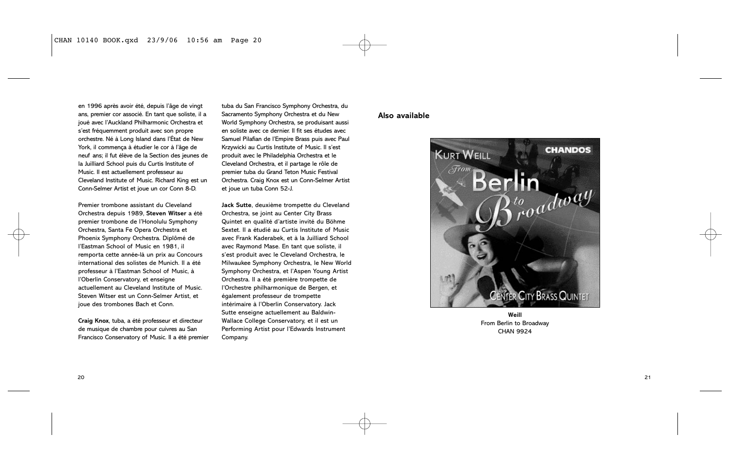en 1996 après avoir été, depuis l'âge de vingt ans, premier cor associé. En tant que soliste, il a joué avec l'Auckland Philharmonic Orchestra et s'est fréquemment produit avec son propre orchestre. Né à Long Island dans l'État de New York, il commença à étudier le cor à l'âge de neuf ans; il fut élève de la Section des jeunes de la Juilliard School puis du Curtis Institute of Music. Il est actuellement professeur au Cleveland Institute of Music. Richard King est un Conn-Selmer Artist et joue un cor Conn 8-D.

Premier trombone assistant du Cleveland Orchestra depuis 1989, **Steven Witser** a été premier trombone de l'Honolulu Symphony Orchestra, Santa Fe Opera Orchestra et Phoenix Symphony Orchestra. Diplômé de l'Eastman School of Music en 1981, il remporta cette année-là un prix au Concours international des solistes de Munich. Il a été professeur à l'Eastman School of Music, à l'Oberlin Conservatory, et enseigne actuellement au Cleveland Institute of Music. Steven Witser est un Conn-Selmer Artist, et joue des trombones Bach et Conn.

**Craig Knox**, tuba, a été professeur et directeur de musique de chambre pour cuivres au San Francisco Conservatory of Music. Il a été premier tuba du San Francisco Symphony Orchestra, du Sacramento Symphony Orchestra et du New World Symphony Orchestra, se produisant aussi en soliste avec ce dernier. Il fit ses études avec Samuel Pilafian de l'Empire Brass puis avec Paul Krzywicki au Curtis Institute of Music. Il s'est produit avec le Philadelphia Orchestra et le Cleveland Orchestra, et il partage le rôle de premier tuba du Grand Teton Music Festival Orchestra. Craig Knox est un Conn-Selmer Artist et joue un tuba Conn 52-J.

**Jack Sutte**, deuxième trompette du Cleveland Orchestra, se joint au Center City Brass Quintet en qualité d'artiste invité du Böhme Sextet. Il a étudié au Curtis Institute of Music avec Frank Kaderabek, et à la Juilliard School avec Raymond Mase. En tant que soliste, il s'est produit avec le Cleveland Orchestra, le Milwaukee Symphony Orchestra, le New World Symphony Orchestra, et l'Aspen Young Artist Orchestra. Il a été première trompette de l'Orchestre philharmonique de Bergen, et également professeur de trompette intérimaire à l'Oberlin Conservatory. Jack Sutte enseigne actuellement au Baldwin-Wallace College Conservatory, et il est un Performing Artist pour l'Edwards Instrument Company.

#### **Also available**



**Weill** From Berlin to Broadway CHAN 9924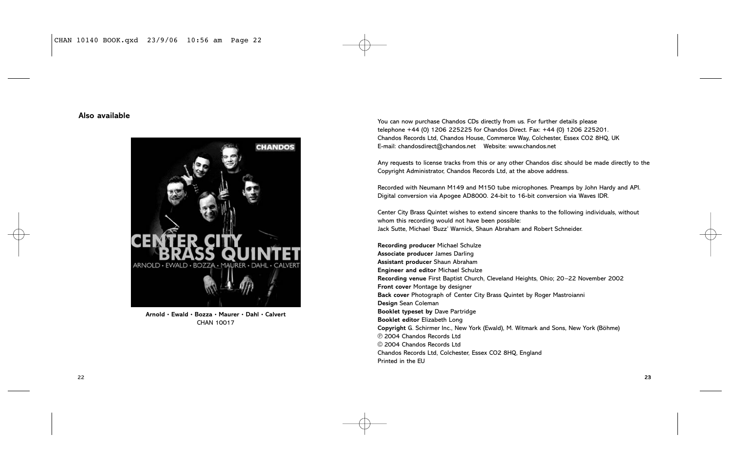#### **Also available**



**Arnold • Ewald • Bozza • Maurer • Dahl • Calvert** CHAN 10017

You can now purchase Chandos CDs directly from us. For further details please telephone +44 (0) 1206 225225 for Chandos Direct. Fax: +44 (0) 1206 225201. Chandos Records Ltd, Chandos House, Commerce Way, Colchester, Essex CO2 8HQ, UK E-mail: chandosdirect@chandos.net Website: www.chandos.net

Any requests to license tracks from this or any other Chandos disc should be made directly to the Copyright Administrator, Chandos Records Ltd, at the above address.

Recorded with Neumann M149 and M150 tube microphones. Preamps by John Hardy and API. Digital conversion via Apogee AD8000. 24-bit to 16-bit conversion via Waves IDR.

Center City Brass Quintet wishes to extend sincere thanks to the following individuals, without whom this recording would not have been possible: Jack Sutte, Michael 'Buzz' Warnick, Shaun Abraham and Robert Schneider.

**Recording producer** Michael Schulze **Associate producer** James Darling **Assistant producer** Shaun Abraham **Engineer and editor** Michael Schulze **Recording venue** First Baptist Church, Cleveland Heights, Ohio; 20–22 November 2002 **Front cover** Montage by designer **Back cover** Photograph of Center City Brass Quintet by Roger Mastroianni **Design** Sean Coleman **Booklet typeset by** Dave Partridge **Booklet editor** Elizabeth Long **Copyright** G. Schirmer Inc., New York (Ewald), M. Witmark and Sons, New York (Böhme) p 2004 Chandos Records Ltd  $©$  2004 Chandos Records Ltd Chandos Records Ltd, Colchester, Essex CO2 8HQ, England Printed in the EU